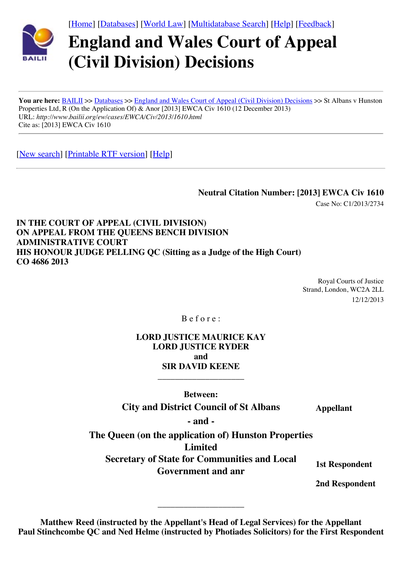[\[Home\]](http://www.bailii.org/) [[Databases\]](http://www.bailii.org/databases.html) [\[World Law\]](http://www.austlii.edu.au/links/World/) [\[Multidatabase Search\]](http://www.bailii.org/form/search_multidatabase.html) [\[Help](http://www.bailii.org/bailii/help/)] [[Feedback\]](http://www.bailii.org/bailii/feedback.html)



# **England and Wales Court of Appeal (Civil Division) Decisions**

You are here: [BAILII](http://www.bailii.org/) >> [Databases](http://www.bailii.org/databases.html) >> [England and Wales Court of Appeal \(Civil Division\) Decisions](http://www.bailii.org/ew/cases/EWCA/Civ/) >> St Albans v Hunston Properties Ltd, R (On the Application Of) & Anor [2013] EWCA Civ 1610 (12 December 2013) URL: *http://www.bailii.org/ew/cases/EWCA/Civ/2013/1610.html* Cite as: [2013] EWCA Civ 1610

[\[New search\]](http://www.bailii.org/form/search_cases.html) [\[Printable RTF version\]](http://www.bailii.org/ew/cases/EWCA/Civ/2013/1610.rtf) [\[Help\]](http://www.bailii.org/bailii/help/)

**Neutral Citation Number: [2013] EWCA Civ 1610**

Case No: C1/2013/2734

**IN THE COURT OF APPEAL (CIVIL DIVISION) ON APPEAL FROM THE QUEENS BENCH DIVISION ADMINISTRATIVE COURT HIS HONOUR JUDGE PELLING QC (Sitting as a Judge of the High Court) CO 4686 2013**

> Royal Courts of Justice Strand, London, WC2A 2LL 12/12/2013

B e f o r e :

**LORD JUSTICE MAURICE KAY LORD JUSTICE RYDER and SIR DAVID KEENE**

**Between:**

\_\_\_\_\_\_\_\_\_\_\_\_\_\_\_\_\_\_\_\_

**City and District Council of St Albans Appellant** 

**- and -**

**The Queen (on the application of) Hunston Properties Limited Secretary of State for Communities and Local** Gute for Communities and *Eocal* 1st Respondent<br>Government and anr

**2nd Respondent**

**Matthew Reed (instructed by the Appellant's Head of Legal Services) for the Appellant Paul Stinchcombe QC and Ned Helme (instructed by Photiades Solicitors) for the First Respondent**

\_\_\_\_\_\_\_\_\_\_\_\_\_\_\_\_\_\_\_\_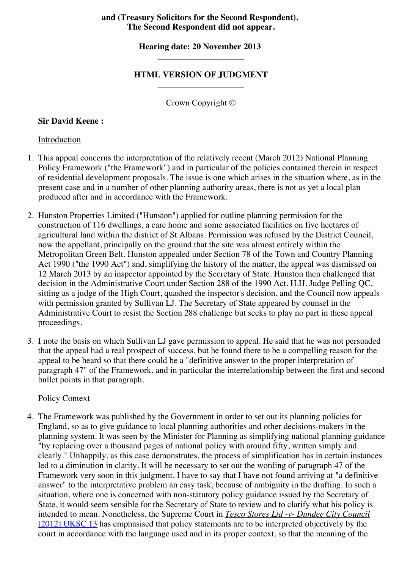## **and (Treasury Solicitors for the Second Respondent). The Second Respondent did not appear.**

## **Hearing date: 20 November 2013**  \_\_\_\_\_\_\_\_\_\_\_\_\_\_\_\_\_\_\_\_

## **HTML VERSION OF JUDGMENT** \_\_\_\_\_\_\_\_\_\_\_\_\_\_\_\_\_\_\_\_

Crown Copyright ©

## **Sir David Keene :**

## Introduction

- 1. This appeal concerns the interpretation of the relatively recent (March 2012) National Planning Policy Framework ("the Framework") and in particular of the policies contained therein in respect of residential development proposals. The issue is one which arises in the situation where, as in the present case and in a number of other planning authority areas, there is not as yet a local plan produced after and in accordance with the Framework.
- 2. Hunston Properties Limited ("Hunston") applied for outline planning permission for the construction of 116 dwellings, a care home and some associated facilities on five hectares of agricultural land within the district of St Albans. Permission was refused by the District Council, now the appellant, principally on the ground that the site was almost entirely within the Metropolitan Green Belt. Hunston appealed under Section 78 of the Town and Country Planning Act 1990 ("the 1990 Act") and, simplifying the history of the matter, the appeal was dismissed on 12 March 2013 by an inspector appointed by the Secretary of State. Hunston then challenged that decision in the Administrative Court under Section 288 of the 1990 Act. H.H. Judge Pelling QC, sitting as a judge of the High Court, quashed the inspector's decision, and the Council now appeals with permission granted by Sullivan LJ. The Secretary of State appeared by counsel in the Administrative Court to resist the Section 288 challenge but seeks to play no part in these appeal proceedings.
- 3. I note the basis on which Sullivan LJ gave permission to appeal. He said that he was not persuaded that the appeal had a real prospect of success, but he found there to be a compelling reason for the appeal to be heard so that there could be a "definitive answer to the proper interpretation of paragraph 47" of the Framework, and in particular the interrelationship between the first and second bullet points in that paragraph.

#### Policy Context

4. The Framework was published by the Government in order to set out its planning policies for England, so as to give guidance to local planning authorities and other decisions-makers in the planning system. It was seen by the Minister for Planning as simplifying national planning guidance "by replacing over a thousand pages of national policy with around fifty, written simply and clearly." Unhappily, as this case demonstrates, the process of simplification has in certain instances led to a diminution in clarity. It will be necessary to set out the wording of paragraph 47 of the Framework very soon in this judgment. I have to say that I have not found arriving at "a definitive answer" to the interpretative problem an easy task, because of ambiguity in the drafting. In such a situation, where one is concerned with non-statutory policy guidance issued by the Secretary of State, it would seem sensible for the Secretary of State to review and to clarify what his policy is intended to mean. Nonetheless, the Supreme Court in *Tesco Stores Ltd -v- Dundee City Council* [\[2012\] UKSC 13](http://www.bailii.org/uk/cases/UKSC/2012/13.html) has emphasised that policy statements are to be interpreted objectively by the court in accordance with the language used and in its proper context, so that the meaning of the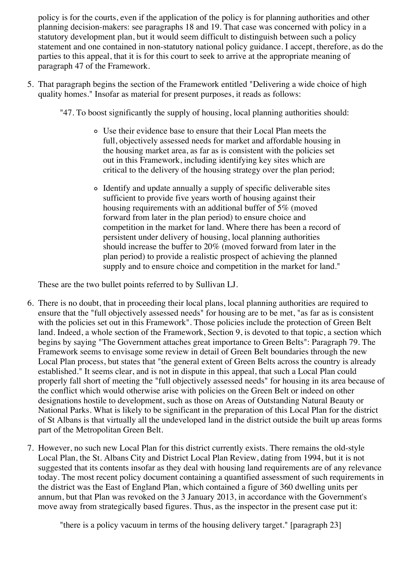policy is for the courts, even if the application of the policy is for planning authorities and other planning decision-makers: see paragraphs 18 and 19. That case was concerned with policy in a statutory development plan, but it would seem difficult to distinguish between such a policy statement and one contained in non-statutory national policy guidance. I accept, therefore, as do the parties to this appeal, that it is for this court to seek to arrive at the appropriate meaning of paragraph 47 of the Framework.

- 5. That paragraph begins the section of the Framework entitled "Delivering a wide choice of high quality homes." Insofar as material for present purposes, it reads as follows:
	- "47. To boost significantly the supply of housing, local planning authorities should:
		- Use their evidence base to ensure that their Local Plan meets the full, objectively assessed needs for market and affordable housing in the housing market area, as far as is consistent with the policies set out in this Framework, including identifying key sites which are critical to the delivery of the housing strategy over the plan period;
		- Identify and update annually a supply of specific deliverable sites sufficient to provide five years worth of housing against their housing requirements with an additional buffer of 5% (moved forward from later in the plan period) to ensure choice and competition in the market for land. Where there has been a record of persistent under delivery of housing, local planning authorities should increase the buffer to 20% (moved forward from later in the plan period) to provide a realistic prospect of achieving the planned supply and to ensure choice and competition in the market for land."

These are the two bullet points referred to by Sullivan LJ.

- 6. There is no doubt, that in proceeding their local plans, local planning authorities are required to ensure that the "full objectively assessed needs" for housing are to be met, "as far as is consistent with the policies set out in this Framework". Those policies include the protection of Green Belt land. Indeed, a whole section of the Framework, Section 9, is devoted to that topic, a section which begins by saying "The Government attaches great importance to Green Belts": Paragraph 79. The Framework seems to envisage some review in detail of Green Belt boundaries through the new Local Plan process, but states that "the general extent of Green Belts across the country is already established." It seems clear, and is not in dispute in this appeal, that such a Local Plan could properly fall short of meeting the "full objectively assessed needs" for housing in its area because of the conflict which would otherwise arise with policies on the Green Belt or indeed on other designations hostile to development, such as those on Areas of Outstanding Natural Beauty or National Parks. What is likely to be significant in the preparation of this Local Plan for the district of St Albans is that virtually all the undeveloped land in the district outside the built up areas forms part of the Metropolitan Green Belt.
- 7. However, no such new Local Plan for this district currently exists. There remains the old-style Local Plan, the St. Albans City and District Local Plan Review, dating from 1994, but it is not suggested that its contents insofar as they deal with housing land requirements are of any relevance today. The most recent policy document containing a quantified assessment of such requirements in the district was the East of England Plan, which contained a figure of 360 dwelling units per annum, but that Plan was revoked on the 3 January 2013, in accordance with the Government's move away from strategically based figures. Thus, as the inspector in the present case put it:

"there is a policy vacuum in terms of the housing delivery target." [paragraph 23]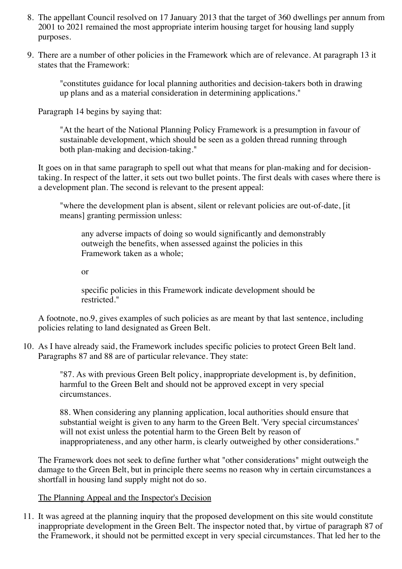- 8. The appellant Council resolved on 17 January 2013 that the target of 360 dwellings per annum from 2001 to 2021 remained the most appropriate interim housing target for housing land supply purposes.
- 9. There are a number of other policies in the Framework which are of relevance. At paragraph 13 it states that the Framework:

"constitutes guidance for local planning authorities and decision-takers both in drawing up plans and as a material consideration in determining applications."

Paragraph 14 begins by saying that:

"At the heart of the National Planning Policy Framework is a presumption in favour of sustainable development, which should be seen as a golden thread running through both plan-making and decision-taking."

It goes on in that same paragraph to spell out what that means for plan-making and for decisiontaking. In respect of the latter, it sets out two bullet points. The first deals with cases where there is a development plan. The second is relevant to the present appeal:

"where the development plan is absent, silent or relevant policies are out-of-date, [it means] granting permission unless:

any adverse impacts of doing so would significantly and demonstrably outweigh the benefits, when assessed against the policies in this Framework taken as a whole;

or

specific policies in this Framework indicate development should be restricted."

A footnote, no.9, gives examples of such policies as are meant by that last sentence, including policies relating to land designated as Green Belt.

10. As I have already said, the Framework includes specific policies to protect Green Belt land. Paragraphs 87 and 88 are of particular relevance. They state:

> "87. As with previous Green Belt policy, inappropriate development is, by definition, harmful to the Green Belt and should not be approved except in very special circumstances.

88. When considering any planning application, local authorities should ensure that substantial weight is given to any harm to the Green Belt. 'Very special circumstances' will not exist unless the potential harm to the Green Belt by reason of inappropriateness, and any other harm, is clearly outweighed by other considerations."

The Framework does not seek to define further what "other considerations" might outweigh the damage to the Green Belt, but in principle there seems no reason why in certain circumstances a shortfall in housing land supply might not do so.

# The Planning Appeal and the Inspector's Decision

11. It was agreed at the planning inquiry that the proposed development on this site would constitute inappropriate development in the Green Belt. The inspector noted that, by virtue of paragraph 87 of the Framework, it should not be permitted except in very special circumstances. That led her to the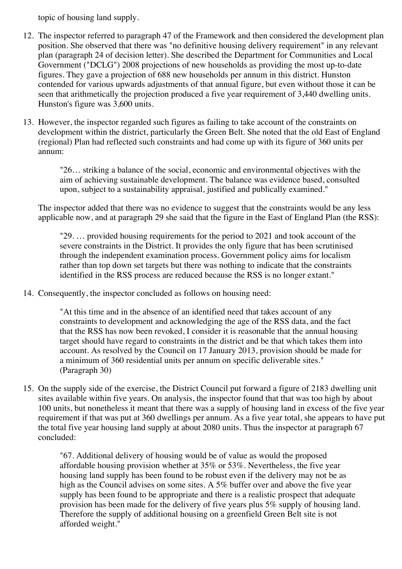topic of housing land supply.

- 12. The inspector referred to paragraph 47 of the Framework and then considered the development plan position. She observed that there was "no definitive housing delivery requirement" in any relevant plan (paragraph 24 of decision letter). She described the Department for Communities and Local Government ("DCLG") 2008 projections of new households as providing the most up-to-date figures. They gave a projection of 688 new households per annum in this district. Hunston contended for various upwards adjustments of that annual figure, but even without those it can be seen that arithmetically the projection produced a five year requirement of 3,440 dwelling units. Hunston's figure was 3,600 units.
- 13. However, the inspector regarded such figures as failing to take account of the constraints on development within the district, particularly the Green Belt. She noted that the old East of England (regional) Plan had reflected such constraints and had come up with its figure of 360 units per annum:

"26… striking a balance of the social, economic and environmental objectives with the aim of achieving sustainable development. The balance was evidence based, consulted upon, subject to a sustainability appraisal, justified and publically examined."

The inspector added that there was no evidence to suggest that the constraints would be any less applicable now, and at paragraph 29 she said that the figure in the East of England Plan (the RSS):

"29. … provided housing requirements for the period to 2021 and took account of the severe constraints in the District. It provides the only figure that has been scrutinised through the independent examination process. Government policy aims for localism rather than top down set targets but there was nothing to indicate that the constraints identified in the RSS process are reduced because the RSS is no longer extant."

14. Consequently, the inspector concluded as follows on housing need:

"At this time and in the absence of an identified need that takes account of any constraints to development and acknowledging the age of the RSS data, and the fact that the RSS has now been revoked, I consider it is reasonable that the annual housing target should have regard to constraints in the district and be that which takes them into account. As resolved by the Council on 17 January 2013, provision should be made for a minimum of 360 residential units per annum on specific deliverable sites." (Paragraph 30)

15. On the supply side of the exercise, the District Council put forward a figure of 2183 dwelling unit sites available within five years. On analysis, the inspector found that that was too high by about 100 units, but nonetheless it meant that there was a supply of housing land in excess of the five year requirement if that was put at 360 dwellings per annum. As a five year total, she appears to have put the total five year housing land supply at about 2080 units. Thus the inspector at paragraph 67 concluded:

"67. Additional delivery of housing would be of value as would the proposed affordable housing provision whether at 35% or 53%. Nevertheless, the five year housing land supply has been found to be robust even if the delivery may not be as high as the Council advises on some sites. A 5% buffer over and above the five year supply has been found to be appropriate and there is a realistic prospect that adequate provision has been made for the delivery of five years plus 5% supply of housing land. Therefore the supply of additional housing on a greenfield Green Belt site is not afforded weight."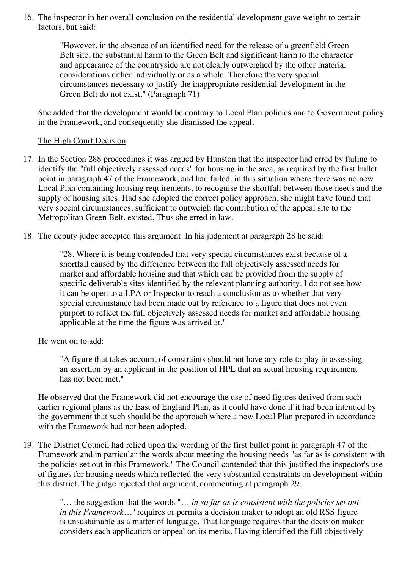16. The inspector in her overall conclusion on the residential development gave weight to certain factors, but said:

> "However, in the absence of an identified need for the release of a greenfield Green Belt site, the substantial harm to the Green Belt and significant harm to the character and appearance of the countryside are not clearly outweighed by the other material considerations either individually or as a whole. Therefore the very special circumstances necessary to justify the inappropriate residential development in the Green Belt do not exist." (Paragraph 71)

She added that the development would be contrary to Local Plan policies and to Government policy in the Framework, and consequently she dismissed the appeal.

## The High Court Decision

- 17. In the Section 288 proceedings it was argued by Hunston that the inspector had erred by failing to identify the "full objectively assessed needs" for housing in the area, as required by the first bullet point in paragraph 47 of the Framework, and had failed, in this situation where there was no new Local Plan containing housing requirements, to recognise the shortfall between those needs and the supply of housing sites. Had she adopted the correct policy approach, she might have found that very special circumstances, sufficient to outweigh the contribution of the appeal site to the Metropolitan Green Belt, existed. Thus she erred in law.
- 18. The deputy judge accepted this argument. In his judgment at paragraph 28 he said:

"28. Where it is being contended that very special circumstances exist because of a shortfall caused by the difference between the full objectively assessed needs for market and affordable housing and that which can be provided from the supply of specific deliverable sites identified by the relevant planning authority, I do not see how it can be open to a LPA or Inspector to reach a conclusion as to whether that very special circumstance had been made out by reference to a figure that does not even purport to reflect the full objectively assessed needs for market and affordable housing applicable at the time the figure was arrived at."

He went on to add:

"A figure that takes account of constraints should not have any role to play in assessing an assertion by an applicant in the position of HPL that an actual housing requirement has not been met."

He observed that the Framework did not encourage the use of need figures derived from such earlier regional plans as the East of England Plan, as it could have done if it had been intended by the government that such should be the approach where a new Local Plan prepared in accordance with the Framework had not been adopted.

19. The District Council had relied upon the wording of the first bullet point in paragraph 47 of the Framework and in particular the words about meeting the housing needs "as far as is consistent with the policies set out in this Framework." The Council contended that this justified the inspector's use of figures for housing needs which reflected the very substantial constraints on development within this district. The judge rejected that argument, commenting at paragraph 29:

"… the suggestion that the words "… *in so far as is consistent with the policies set out in this Framework*..." requires or permits a decision maker to adopt an old RSS figure is unsustainable as a matter of language. That language requires that the decision maker considers each application or appeal on its merits. Having identified the full objectively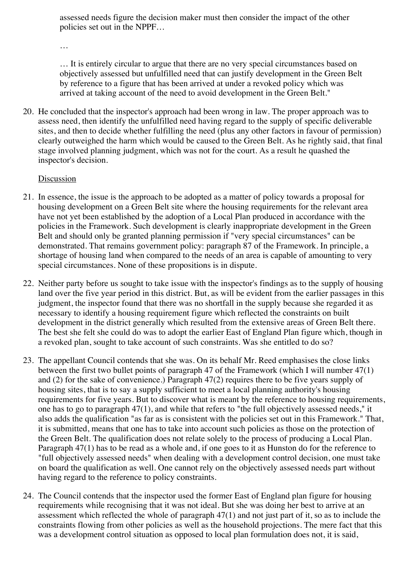assessed needs figure the decision maker must then consider the impact of the other policies set out in the NPPF…

…

… It is entirely circular to argue that there are no very special circumstances based on objectively assessed but unfulfilled need that can justify development in the Green Belt by reference to a figure that has been arrived at under a revoked policy which was arrived at taking account of the need to avoid development in the Green Belt."

20. He concluded that the inspector's approach had been wrong in law. The proper approach was to assess need, then identify the unfulfilled need having regard to the supply of specific deliverable sites, and then to decide whether fulfilling the need (plus any other factors in favour of permission) clearly outweighed the harm which would be caused to the Green Belt. As he rightly said, that final stage involved planning judgment, which was not for the court. As a result he quashed the inspector's decision.

## **Discussion**

- 21. In essence, the issue is the approach to be adopted as a matter of policy towards a proposal for housing development on a Green Belt site where the housing requirements for the relevant area have not yet been established by the adoption of a Local Plan produced in accordance with the policies in the Framework. Such development is clearly inappropriate development in the Green Belt and should only be granted planning permission if "very special circumstances" can be demonstrated. That remains government policy: paragraph 87 of the Framework. In principle, a shortage of housing land when compared to the needs of an area is capable of amounting to very special circumstances. None of these propositions is in dispute.
- 22. Neither party before us sought to take issue with the inspector's findings as to the supply of housing land over the five year period in this district. But, as will be evident from the earlier passages in this judgment, the inspector found that there was no shortfall in the supply because she regarded it as necessary to identify a housing requirement figure which reflected the constraints on built development in the district generally which resulted from the extensive areas of Green Belt there. The best she felt she could do was to adopt the earlier East of England Plan figure which, though in a revoked plan, sought to take account of such constraints. Was she entitled to do so?
- 23. The appellant Council contends that she was. On its behalf Mr. Reed emphasises the close links between the first two bullet points of paragraph 47 of the Framework (which I will number 47(1) and (2) for the sake of convenience.) Paragraph 47(2) requires there to be five years supply of housing sites, that is to say a supply sufficient to meet a local planning authority's housing requirements for five years. But to discover what is meant by the reference to housing requirements, one has to go to paragraph 47(1), and while that refers to "the full objectively assessed needs," it also adds the qualification "as far as is consistent with the policies set out in this Framework." That, it is submitted, means that one has to take into account such policies as those on the protection of the Green Belt. The qualification does not relate solely to the process of producing a Local Plan. Paragraph 47(1) has to be read as a whole and, if one goes to it as Hunston do for the reference to "full objectively assessed needs" when dealing with a development control decision, one must take on board the qualification as well. One cannot rely on the objectively assessed needs part without having regard to the reference to policy constraints.
- 24. The Council contends that the inspector used the former East of England plan figure for housing requirements while recognising that it was not ideal. But she was doing her best to arrive at an assessment which reflected the whole of paragraph 47(1) and not just part of it, so as to include the constraints flowing from other policies as well as the household projections. The mere fact that this was a development control situation as opposed to local plan formulation does not, it is said,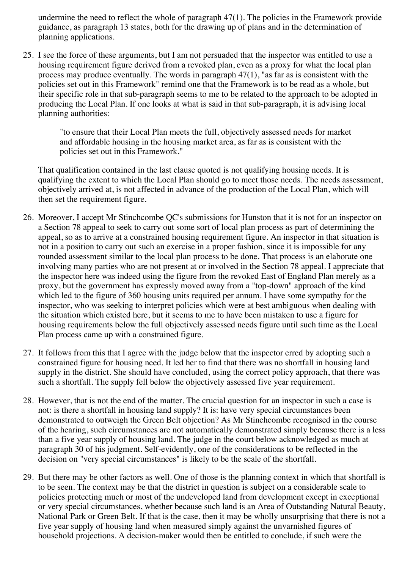undermine the need to reflect the whole of paragraph 47(1). The policies in the Framework provide guidance, as paragraph 13 states, both for the drawing up of plans and in the determination of planning applications.

25. I see the force of these arguments, but I am not persuaded that the inspector was entitled to use a housing requirement figure derived from a revoked plan, even as a proxy for what the local plan process may produce eventually. The words in paragraph 47(1), "as far as is consistent with the policies set out in this Framework" remind one that the Framework is to be read as a whole, but their specific role in that sub-paragraph seems to me to be related to the approach to be adopted in producing the Local Plan. If one looks at what is said in that sub-paragraph, it is advising local planning authorities:

> "to ensure that their Local Plan meets the full, objectively assessed needs for market and affordable housing in the housing market area, as far as is consistent with the policies set out in this Framework."

That qualification contained in the last clause quoted is not qualifying housing needs. It is qualifying the extent to which the Local Plan should go to meet those needs. The needs assessment, objectively arrived at, is not affected in advance of the production of the Local Plan, which will then set the requirement figure.

- 26. Moreover, I accept Mr Stinchcombe QC's submissions for Hunston that it is not for an inspector on a Section 78 appeal to seek to carry out some sort of local plan process as part of determining the appeal, so as to arrive at a constrained housing requirement figure. An inspector in that situation is not in a position to carry out such an exercise in a proper fashion, since it is impossible for any rounded assessment similar to the local plan process to be done. That process is an elaborate one involving many parties who are not present at or involved in the Section 78 appeal. I appreciate that the inspector here was indeed using the figure from the revoked East of England Plan merely as a proxy, but the government has expressly moved away from a "top-down" approach of the kind which led to the figure of 360 housing units required per annum. I have some sympathy for the inspector, who was seeking to interpret policies which were at best ambiguous when dealing with the situation which existed here, but it seems to me to have been mistaken to use a figure for housing requirements below the full objectively assessed needs figure until such time as the Local Plan process came up with a constrained figure.
- 27. It follows from this that I agree with the judge below that the inspector erred by adopting such a constrained figure for housing need. It led her to find that there was no shortfall in housing land supply in the district. She should have concluded, using the correct policy approach, that there was such a shortfall. The supply fell below the objectively assessed five year requirement.
- 28. However, that is not the end of the matter. The crucial question for an inspector in such a case is not: is there a shortfall in housing land supply? It is: have very special circumstances been demonstrated to outweigh the Green Belt objection? As Mr Stinchcombe recognised in the course of the hearing, such circumstances are not automatically demonstrated simply because there is a less than a five year supply of housing land. The judge in the court below acknowledged as much at paragraph 30 of his judgment. Self-evidently, one of the considerations to be reflected in the decision on "very special circumstances" is likely to be the scale of the shortfall.
- 29. But there may be other factors as well. One of those is the planning context in which that shortfall is to be seen. The context may be that the district in question is subject on a considerable scale to policies protecting much or most of the undeveloped land from development except in exceptional or very special circumstances, whether because such land is an Area of Outstanding Natural Beauty, National Park or Green Belt. If that is the case, then it may be wholly unsurprising that there is not a five year supply of housing land when measured simply against the unvarnished figures of household projections. A decision-maker would then be entitled to conclude, if such were the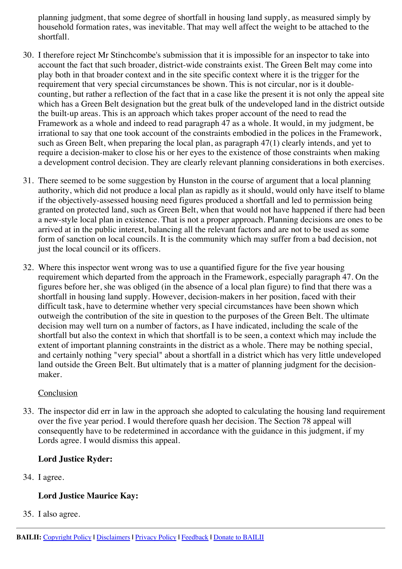planning judgment, that some degree of shortfall in housing land supply, as measured simply by household formation rates, was inevitable. That may well affect the weight to be attached to the shortfall.

- 30. I therefore reject Mr Stinchcombe's submission that it is impossible for an inspector to take into account the fact that such broader, district-wide constraints exist. The Green Belt may come into play both in that broader context and in the site specific context where it is the trigger for the requirement that very special circumstances be shown. This is not circular, nor is it doublecounting, but rather a reflection of the fact that in a case like the present it is not only the appeal site which has a Green Belt designation but the great bulk of the undeveloped land in the district outside the built-up areas. This is an approach which takes proper account of the need to read the Framework as a whole and indeed to read paragraph 47 as a whole. It would, in my judgment, be irrational to say that one took account of the constraints embodied in the polices in the Framework, such as Green Belt, when preparing the local plan, as paragraph 47(1) clearly intends, and yet to require a decision-maker to close his or her eyes to the existence of those constraints when making a development control decision. They are clearly relevant planning considerations in both exercises.
- 31. There seemed to be some suggestion by Hunston in the course of argument that a local planning authority, which did not produce a local plan as rapidly as it should, would only have itself to blame if the objectively-assessed housing need figures produced a shortfall and led to permission being granted on protected land, such as Green Belt, when that would not have happened if there had been a new-style local plan in existence. That is not a proper approach. Planning decisions are ones to be arrived at in the public interest, balancing all the relevant factors and are not to be used as some form of sanction on local councils. It is the community which may suffer from a bad decision, not just the local council or its officers.
- 32. Where this inspector went wrong was to use a quantified figure for the five year housing requirement which departed from the approach in the Framework, especially paragraph 47. On the figures before her, she was obliged (in the absence of a local plan figure) to find that there was a shortfall in housing land supply. However, decision-makers in her position, faced with their difficult task, have to determine whether very special circumstances have been shown which outweigh the contribution of the site in question to the purposes of the Green Belt. The ultimate decision may well turn on a number of factors, as I have indicated, including the scale of the shortfall but also the context in which that shortfall is to be seen, a context which may include the extent of important planning constraints in the district as a whole. There may be nothing special, and certainly nothing "very special" about a shortfall in a district which has very little undeveloped land outside the Green Belt. But ultimately that is a matter of planning judgment for the decisionmaker.

#### **Conclusion**

33. The inspector did err in law in the approach she adopted to calculating the housing land requirement over the five year period. I would therefore quash her decision. The Section 78 appeal will consequently have to be redetermined in accordance with the guidance in this judgment, if my Lords agree. I would dismiss this appeal.

# **Lord Justice Ryder:**

34. I agree.

# **Lord Justice Maurice Kay:**

35. I also agree.